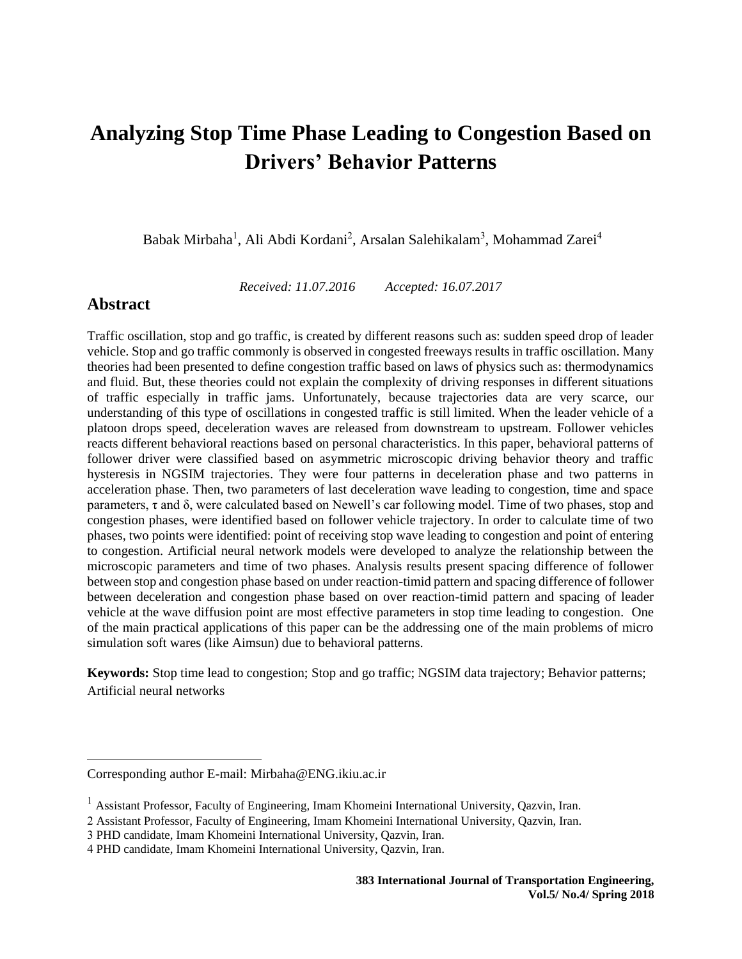Babak Mirbaha<sup>1</sup>, Ali Abdi Kordani<sup>2</sup>, Arsalan Salehikalam<sup>3</sup>, Mohammad Zarei<sup>4</sup>

*Received: 11.07.2016 Accepted: 16.07.2017*

# **Abstract**

 $\overline{\phantom{a}}$ 

Traffic oscillation, stop and go traffic, is created by different reasons such as: sudden speed drop of leader vehicle. Stop and go traffic commonly is observed in congested freeways results in traffic oscillation. Many theories had been presented to define congestion traffic based on laws of physics such as: thermodynamics and fluid. But, these theories could not explain the complexity of driving responses in different situations of traffic especially in traffic jams. Unfortunately, because trajectories data are very scarce, our understanding of this type of oscillations in congested traffic is still limited. When the leader vehicle of a platoon drops speed, deceleration waves are released from downstream to upstream. Follower vehicles reacts different behavioral reactions based on personal characteristics. In this paper, behavioral patterns of follower driver were classified based on asymmetric microscopic driving behavior theory and traffic hysteresis in NGSIM trajectories. They were four patterns in deceleration phase and two patterns in acceleration phase. Then, two parameters of last deceleration wave leading to congestion, time and space parameters, τ and δ, were calculated based on Newell's car following model. Time of two phases, stop and congestion phases, were identified based on follower vehicle trajectory. In order to calculate time of two phases, two points were identified: point of receiving stop wave leading to congestion and point of entering to congestion. Artificial neural network models were developed to analyze the relationship between the microscopic parameters and time of two phases. Analysis results present spacing difference of follower between stop and congestion phase based on under reaction-timid pattern and spacing difference of follower between deceleration and congestion phase based on over reaction-timid pattern and spacing of leader vehicle at the wave diffusion point are most effective parameters in stop time leading to congestion. One of the main practical applications of this paper can be the addressing one of the main problems of micro simulation soft wares (like Aimsun) due to behavioral patterns.

**Keywords:** Stop time lead to congestion; Stop and go traffic; NGSIM data trajectory; Behavior patterns; Artificial neural networks

Corresponding author E-mail: [Mirbaha@ENG.ikiu.ac.ir](mailto:Mirbaha@ENG.ikiu.ac.ir)

<sup>&</sup>lt;sup>1</sup> Assistant Professor, Faculty of Engineering, Imam Khomeini International University, Qazvin, Iran.

<sup>2</sup> Assistant Professor, Faculty of Engineering, Imam Khomeini International University, Qazvin, Iran.

<sup>3</sup> PHD candidate, Imam Khomeini International University, Qazvin, Iran.

<sup>4</sup> PHD candidate, Imam Khomeini International University, Qazvin, Iran.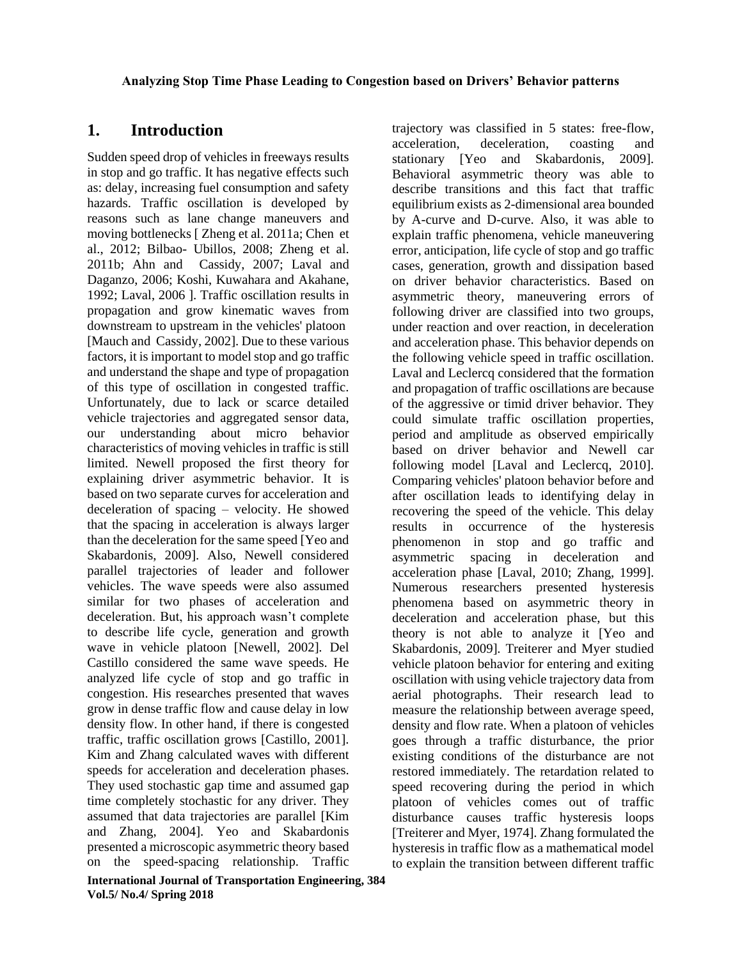# **1. Introduction**

Sudden speed drop of vehicles in freeways results in stop and go traffic. It has negative effects such as: delay, increasing fuel consumption and safety hazards. Traffic oscillation is developed by reasons such as lane change maneuvers and moving bottlenecks [ Zheng et al. 2011a; Chen et al., 2012; Bilbao- Ubillos, 2008; Zheng et al. 2011b; Ahn and Cassidy, 2007; Laval and Daganzo, 2006; Koshi, Kuwahara and Akahane, 1992; Laval, 2006 ]. Traffic oscillation results in propagation and grow kinematic waves from downstream to upstream in the vehicles' platoon [Mauch and Cassidy, 2002]. Due to these various factors, it is important to model stop and go traffic and understand the shape and type of propagation of this type of oscillation in congested traffic. Unfortunately, due to lack or scarce detailed vehicle trajectories and aggregated sensor data, our understanding about micro behavior characteristics of moving vehicles in traffic is still limited. Newell proposed the first theory for explaining driver asymmetric behavior. It is based on two separate curves for acceleration and deceleration of spacing – velocity. He showed that the spacing in acceleration is always larger than the deceleration for the same speed [Yeo and Skabardonis, 2009]. Also, Newell considered parallel trajectories of leader and follower vehicles. The wave speeds were also assumed similar for two phases of acceleration and deceleration. But, his approach wasn't complete to describe life cycle, generation and growth wave in vehicle platoon [Newell, 2002]. Del Castillo considered the same wave speeds. He analyzed life cycle of stop and go traffic in congestion. His researches presented that waves grow in dense traffic flow and cause delay in low density flow. In other hand, if there is congested traffic, traffic oscillation grows [Castillo, 2001]. Kim and Zhang calculated waves with different speeds for acceleration and deceleration phases. They used stochastic gap time and assumed gap time completely stochastic for any driver. They assumed that data trajectories are parallel [Kim and Zhang, 2004]. Yeo and Skabardonis presented a microscopic asymmetric theory based on the speed-spacing relationship. Traffic

trajectory was classified in 5 states: free-flow, acceleration, deceleration, coasting and stationary [Yeo and Skabardonis, 2009]. Behavioral asymmetric theory was able to describe transitions and this fact that traffic equilibrium exists as 2-dimensional area bounded by A-curve and D-curve. Also, it was able to explain traffic phenomena, vehicle maneuvering error, anticipation, life cycle of stop and go traffic cases, generation, growth and dissipation based on driver behavior characteristics. Based on asymmetric theory, maneuvering errors of following driver are classified into two groups, under reaction and over reaction, in deceleration and acceleration phase. This behavior depends on the following vehicle speed in traffic oscillation. Laval and Leclercq considered that the formation and propagation of traffic oscillations are because of the aggressive or timid driver behavior. They could simulate traffic oscillation properties, period and amplitude as observed empirically based on driver behavior and Newell car following model [Laval and Leclercq, 2010]. Comparing vehicles' platoon behavior before and after oscillation leads to identifying delay in recovering the speed of the vehicle. This delay results in occurrence of the hysteresis phenomenon in stop and go traffic and asymmetric spacing in deceleration and acceleration phase [Laval, 2010; Zhang, 1999]. Numerous researchers presented hysteresis phenomena based on asymmetric theory in deceleration and acceleration phase, but this theory is not able to analyze it [Yeo and Skabardonis, 2009]. Treiterer and Myer studied vehicle platoon behavior for entering and exiting oscillation with using vehicle trajectory data from aerial photographs. Their research lead to measure the relationship between average speed, density and flow rate. When a platoon of vehicles goes through a traffic disturbance, the prior existing conditions of the disturbance are not restored immediately. The retardation related to speed recovering during the period in which platoon of vehicles comes out of traffic disturbance causes traffic hysteresis loops [Treiterer and Myer, 1974]. Zhang formulated the hysteresis in traffic flow as a mathematical model to explain the transition between different traffic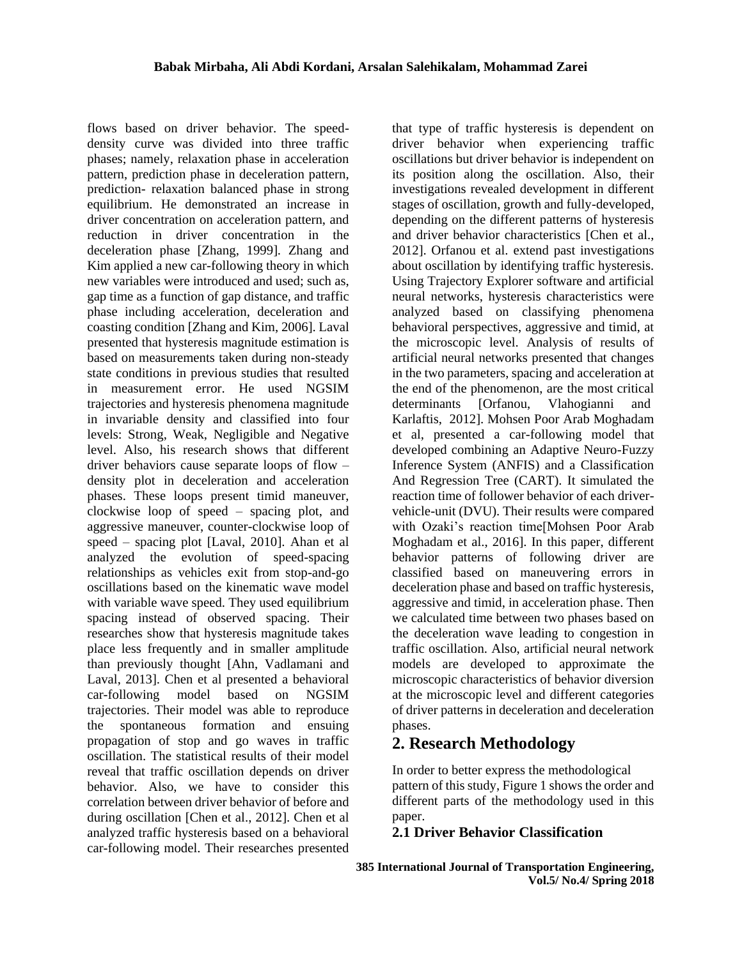flows based on driver behavior. The speeddensity curve was divided into three traffic phases; namely, relaxation phase in acceleration pattern, prediction phase in deceleration pattern, prediction- relaxation balanced phase in strong equilibrium. He demonstrated an increase in driver concentration on acceleration pattern, and reduction in driver concentration in the deceleration phase [Zhang, 1999]. Zhang and Kim applied a new car-following theory in which new variables were introduced and used; such as, gap time as a function of gap distance, and traffic phase including acceleration, deceleration and coasting condition [Zhang and Kim, 2006]. Laval presented that hysteresis magnitude estimation is based on measurements taken during non-steady state conditions in previous studies that resulted in measurement error. He used NGSIM trajectories and hysteresis phenomena magnitude in invariable density and classified into four levels: Strong, Weak, Negligible and Negative level. Also, his research shows that different driver behaviors cause separate loops of flow – density plot in deceleration and acceleration phases. These loops present timid maneuver, clockwise loop of speed – spacing plot, and aggressive maneuver, counter-clockwise loop of speed – spacing plot [Laval, 2010]. Ahan et al analyzed the evolution of speed-spacing relationships as vehicles exit from stop-and-go oscillations based on the kinematic wave model with variable wave speed. They used equilibrium spacing instead of observed spacing. Their researches show that hysteresis magnitude takes place less frequently and in smaller amplitude than previously thought [Ahn, Vadlamani and Laval, 2013]. Chen et al presented a behavioral car-following model based on NGSIM trajectories. Their model was able to reproduce the spontaneous formation and ensuing propagation of stop and go waves in traffic oscillation. The statistical results of their model reveal that traffic oscillation depends on driver behavior. Also, we have to consider this correlation between driver behavior of before and during oscillation [Chen et al., 2012]. Chen et al analyzed traffic hysteresis based on a behavioral car-following model. Their researches presented

that type of traffic hysteresis is dependent on driver behavior when experiencing traffic oscillations but driver behavior is independent on its position along the oscillation. Also, their investigations revealed development in different stages of oscillation, growth and fully-developed, depending on the different patterns of hysteresis and driver behavior characteristics [Chen et al., 2012]. Orfanou et al. extend past investigations about oscillation by identifying traffic hysteresis. Using Trajectory Explorer software and artificial neural networks, hysteresis characteristics were analyzed based on classifying phenomena behavioral perspectives, aggressive and timid, at the microscopic level. Analysis of results of artificial neural networks presented that changes in the two parameters, spacing and acceleration at the end of the phenomenon, are the most critical determinants [Orfanou, Vlahogianni and Karlaftis, 2012]. [Mohsen Poor Arab Moghadam](http://www.ijte.ir/?_action=article&au=145899&_au=Mohsen++Poor+Arab+Moghadam) et al, presented a car-following model that developed combining an Adaptive Neuro-Fuzzy Inference System (ANFIS) and a Classification And Regression Tree (CART). It simulated the reaction time of follower behavior of each drivervehicle-unit (DVU). Their results were compared with Ozaki's reaction time[\[Mohsen Poor Arab](http://www.ijte.ir/?_action=article&au=145899&_au=Mohsen++Poor+Arab+Moghadam)  [Moghadam](http://www.ijte.ir/?_action=article&au=145899&_au=Mohsen++Poor+Arab+Moghadam) et al., 2016]. In this paper, different behavior patterns of following driver are classified based on maneuvering errors in deceleration phase and based on traffic hysteresis, aggressive and timid, in acceleration phase. Then we calculated time between two phases based on the deceleration wave leading to congestion in traffic oscillation. Also, artificial neural network models are developed to approximate the microscopic characteristics of behavior diversion at the microscopic level and different categories of driver patterns in deceleration and deceleration phases.

# **2. Research Methodology**

In order to better express the methodological pattern of this study, Figure 1 shows the order and different parts of the methodology used in this paper.

# **2.1 Driver Behavior Classification**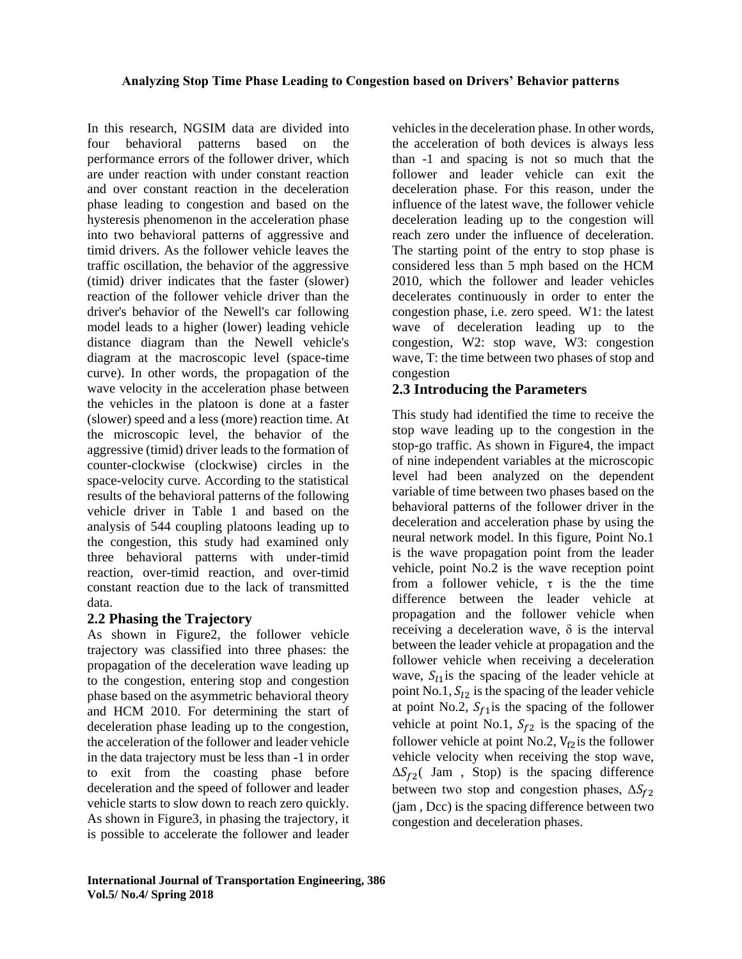In this research, NGSIM data are divided into four behavioral patterns based on the performance errors of the follower driver, which are under reaction with under constant reaction and over constant reaction in the deceleration phase leading to congestion and based on the hysteresis phenomenon in the acceleration phase into two behavioral patterns of aggressive and timid drivers. As the follower vehicle leaves the traffic oscillation, the behavior of the aggressive (timid) driver indicates that the faster (slower) reaction of the follower vehicle driver than the driver's behavior of the Newell's car following model leads to a higher (lower) leading vehicle distance diagram than the Newell vehicle's diagram at the macroscopic level (space-time curve). In other words, the propagation of the wave velocity in the acceleration phase between the vehicles in the platoon is done at a faster (slower) speed and a less (more) reaction time. At the microscopic level, the behavior of the aggressive (timid) driver leads to the formation of counter-clockwise (clockwise) circles in the space-velocity curve. According to the statistical results of the behavioral patterns of the following vehicle driver in Table 1 and based on the analysis of 544 coupling platoons leading up to the congestion, this study had examined only three behavioral patterns with under-timid reaction, over-timid reaction, and over-timid constant reaction due to the lack of transmitted data.

## **2.2 Phasing the Trajectory**

As shown in Figure2, the follower vehicle trajectory was classified into three phases: the propagation of the deceleration wave leading up to the congestion, entering stop and congestion phase based on the asymmetric behavioral theory and HCM 2010. For determining the start of deceleration phase leading up to the congestion, the acceleration of the follower and leader vehicle in the data trajectory must be less than -1 in order to exit from the coasting phase before deceleration and the speed of follower and leader vehicle starts to slow down to reach zero quickly. As shown in Figure3, in phasing the trajectory, it is possible to accelerate the follower and leader

vehicles in the deceleration phase. In other words, the acceleration of both devices is always less than -1 and spacing is not so much that the follower and leader vehicle can exit the deceleration phase. For this reason, under the influence of the latest wave, the follower vehicle deceleration leading up to the congestion will reach zero under the influence of deceleration. The starting point of the entry to stop phase is considered less than 5 mph based on the HCM 2010, which the follower and leader vehicles decelerates continuously in order to enter the congestion phase, i.e. zero speed. W1: the latest wave of deceleration leading up to the congestion, W2: stop wave, W3: congestion wave, T: the time between two phases of stop and congestion

# **2.3 Introducing the Parameters**

This study had identified the time to receive the stop wave leading up to the congestion in the stop-go traffic. As shown in Figure4, the impact of nine independent variables at the microscopic level had been analyzed on the dependent variable of time between two phases based on the behavioral patterns of the follower driver in the deceleration and acceleration phase by using the neural network model. In this figure, Point No.1 is the wave propagation point from the leader vehicle, point No.2 is the wave reception point from a follower vehicle,  $\tau$  is the the time difference between the leader vehicle at propagation and the follower vehicle when receiving a deceleration wave,  $\delta$  is the interval between the leader vehicle at propagation and the follower vehicle when receiving a deceleration wave,  $S_{11}$  is the spacing of the leader vehicle at point No.1,  $S_{12}$  is the spacing of the leader vehicle at point No.2,  $S_{f1}$  is the spacing of the follower vehicle at point No.1,  $S_{f2}$  is the spacing of the follower vehicle at point No.2,  $V_{f2}$  is the follower vehicle velocity when receiving the stop wave,  $\Delta S_{f2}$ ( Jam, Stop) is the spacing difference between two stop and congestion phases,  $\Delta S_{f2}$ (jam , Dcc) is the spacing difference between two congestion and deceleration phases.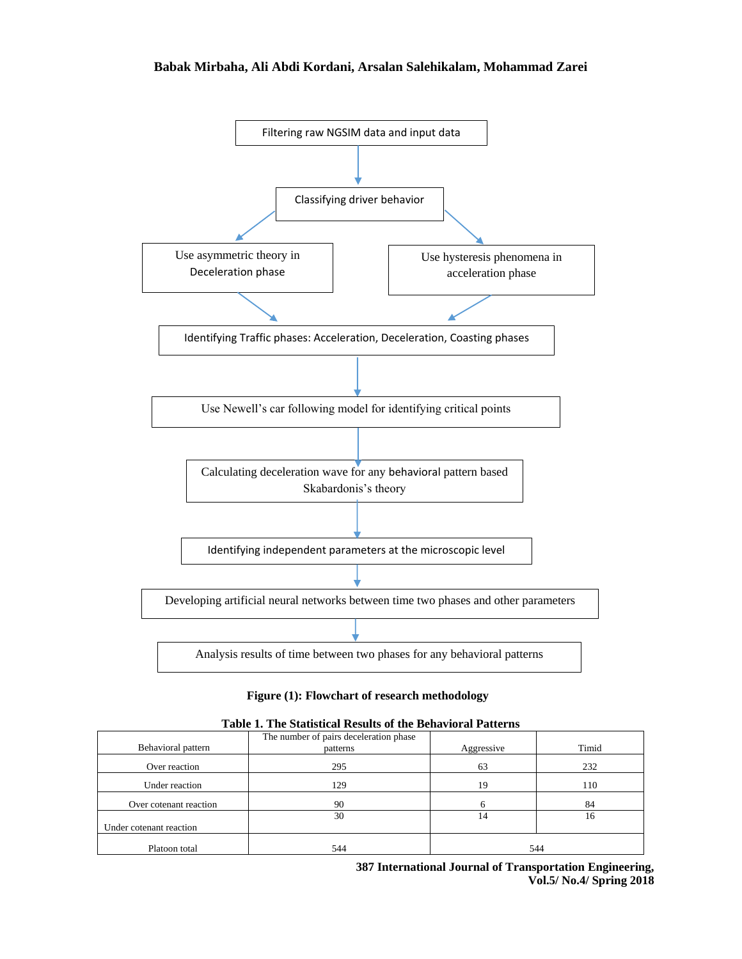#### **Babak Mirbaha, Ali Abdi Kordani, Arsalan Salehikalam, Mohammad Zarei**



#### **Figure (1): Flowchart of research methodology**

| Table 1. The Statistical Results of the Behavioral Patterns |  |  |
|-------------------------------------------------------------|--|--|
|-------------------------------------------------------------|--|--|

| Behavioral pattern      | The number of pairs deceleration phase |            | Timid |  |
|-------------------------|----------------------------------------|------------|-------|--|
|                         | patterns                               | Aggressive |       |  |
| Over reaction           | 295                                    | 63         | 232   |  |
| Under reaction          | 129                                    | 19         | 110   |  |
| Over cotenant reaction  | 90                                     | h          | 84    |  |
|                         | 30                                     | 14         | 16    |  |
| Under cotenant reaction |                                        |            |       |  |
| Platoon total           | 544                                    |            | 544   |  |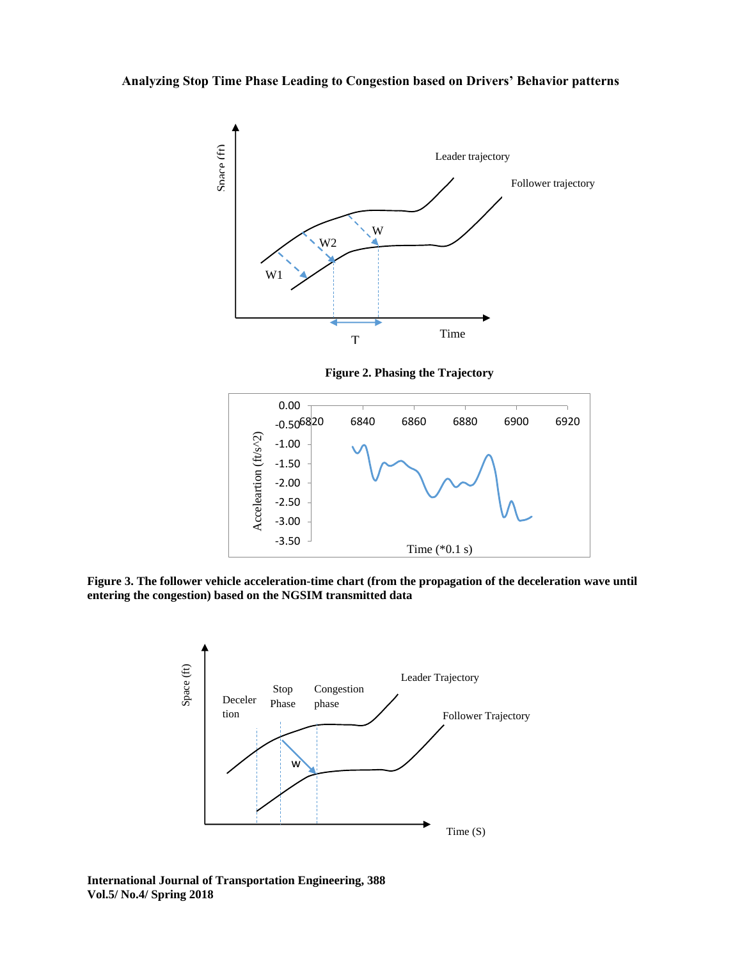





**Figure 3. The follower vehicle acceleration-time chart (from the propagation of the deceleration wave until entering the congestion) based on the NGSIM transmitted data**



**International Journal of Transportation Engineering, 388 Vol.5/ No.4/ Spring 2018**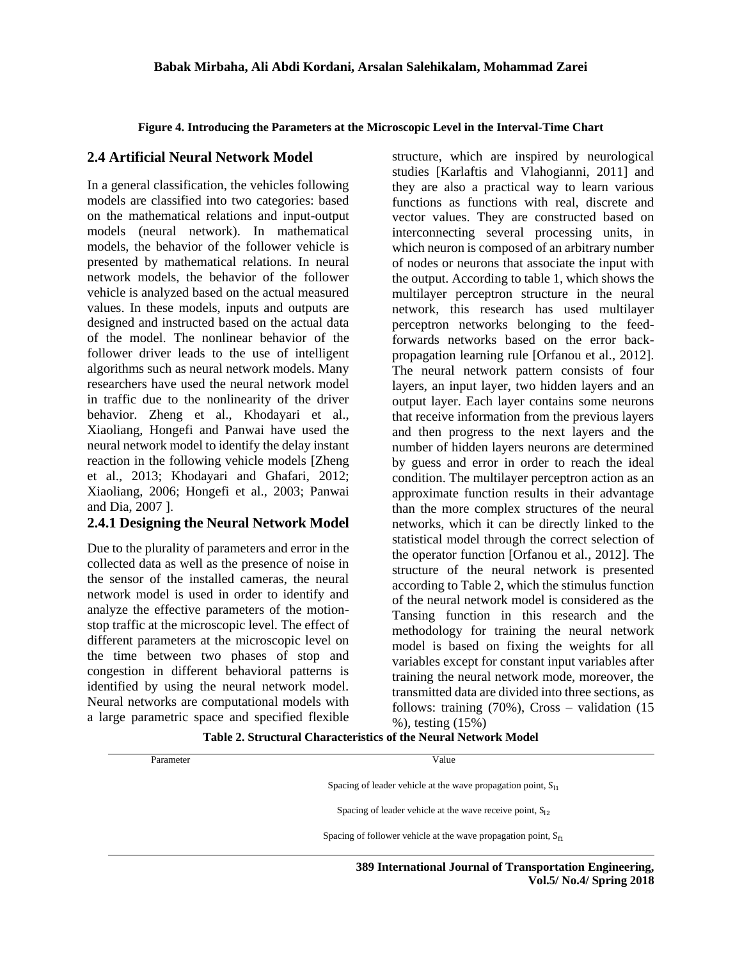#### **Figure 4. Introducing the Parameters at the Microscopic Level in the Interval-Time Chart**

### **2.4 Artificial Neural Network Model**

In a general classification, the vehicles following models are classified into two categories: based on the mathematical relations and input-output models (neural network). In mathematical models, the behavior of the follower vehicle is presented by mathematical relations. In neural network models, the behavior of the follower vehicle is analyzed based on the actual measured values. In these models, inputs and outputs are designed and instructed based on the actual data of the model. The nonlinear behavior of the follower driver leads to the use of intelligent algorithms such as neural network models. Many researchers have used the neural network model in traffic due to the nonlinearity of the driver behavior. Zheng et al., Khodayari et al., Xiaoliang, Hongefi and Panwai have used the neural network model to identify the delay instant reaction in the following vehicle models [Zheng et al., 2013; Khodayari and Ghafari, 2012; Xiaoliang, 2006; Hongefi et al., 2003; Panwai and Dia, 2007 ].

## **2.4.1 Designing the Neural Network Model**

Due to the plurality of parameters and error in the collected data as well as the presence of noise in the sensor of the installed cameras, the neural network model is used in order to identify and analyze the effective parameters of the motionstop traffic at the microscopic level. The effect of different parameters at the microscopic level on the time between two phases of stop and congestion in different behavioral patterns is identified by using the neural network model. Neural networks are computational models with a large parametric space and specified flexible

structure, which are inspired by neurological studies [Karlaftis and Vlahogianni, 2011] and they are also a practical way to learn various functions as functions with real, discrete and vector values. They are constructed based on interconnecting several processing units, in which neuron is composed of an arbitrary number of nodes or neurons that associate the input with the output. According to table 1, which shows the multilayer perceptron structure in the neural network, this research has used multilayer perceptron networks belonging to the feedforwards networks based on the error backpropagation learning rule [Orfanou et al., 2012]. The neural network pattern consists of four layers, an input layer, two hidden layers and an output layer. Each layer contains some neurons that receive information from the previous layers and then progress to the next layers and the number of hidden layers neurons are determined by guess and error in order to reach the ideal condition. The multilayer perceptron action as an approximate function results in their advantage than the more complex structures of the neural networks, which it can be directly linked to the statistical model through the correct selection of the operator function [Orfanou et al., 2012]. The structure of the neural network is presented according to Table 2, which the stimulus function of the neural network model is considered as the Tansing function in this research and the methodology for training the neural network model is based on fixing the weights for all variables except for constant input variables after training the neural network mode, moreover, the transmitted data are divided into three sections, as follows: training (70%), Cross – validation (15 %), testing (15%)

**Vol.5/ No.4/ Spring 2018**

**Table 2. Structural Characteristics of the Neural Network Model**

| Parameter | Value                                                                |
|-----------|----------------------------------------------------------------------|
|           | Spacing of leader vehicle at the wave propagation point, $S_{11}$    |
|           | Spacing of leader vehicle at the wave receive point, $S_{12}$        |
|           | Spacing of follower vehicle at the wave propagation point, $S_{f_1}$ |
|           | 389 International Journal of Transportation Engineering,             |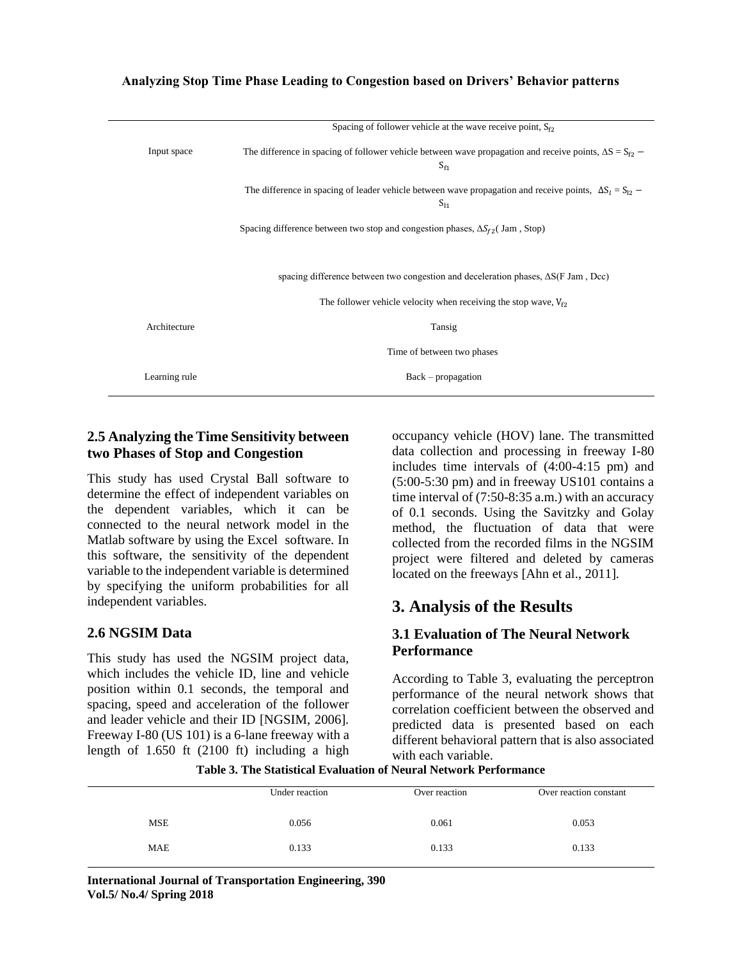|               | Spacing of follower vehicle at the wave receive point, $S_{f2}$                                                            |
|---------------|----------------------------------------------------------------------------------------------------------------------------|
| Input space   | The difference in spacing of follower vehicle between wave propagation and receive points, $\Delta S = S_{f2}$<br>$S_{f1}$ |
|               | The difference in spacing of leader vehicle between wave propagation and receive points, $\Delta S_1 = S_{12}$<br>$S_{11}$ |
|               | Spacing difference between two stop and congestion phases, $\Delta S_{f2}$ Jam, Stop)                                      |
|               | spacing difference between two congestion and deceleration phases, $\Delta S(F \text{ Jam}, \text{Dec})$                   |
|               | The follower vehicle velocity when receiving the stop wave, $V_{f2}$                                                       |
| Architecture  | Tansig                                                                                                                     |
|               | Time of between two phases                                                                                                 |
| Learning rule | $Back-propagation$                                                                                                         |
|               |                                                                                                                            |

## **2.5 Analyzing the Time Sensitivity between two Phases of Stop and Congestion**

This study has used Crystal Ball software to determine the effect of independent variables on the dependent variables, which it can be connected to the neural network model in the Matlab software by using the Excel software. In this software, the sensitivity of the dependent variable to the independent variable is determined by specifying the uniform probabilities for all independent variables.

## **2.6 NGSIM Data**

This study has used the NGSIM project data, which includes the vehicle ID, line and vehicle position within 0.1 seconds, the temporal and spacing, speed and acceleration of the follower and leader vehicle and their ID [NGSIM, 2006]. Freeway I-80 (US 101) is a 6-lane freeway with a length of 1.650 ft (2100 ft) including a high

occupancy vehicle (HOV) lane. The transmitted data collection and processing in freeway I-80 includes time intervals of (4:00-4:15 pm) and (5:00-5:30 pm) and in freeway US101 contains a time interval of (7:50-8:35 a.m.) with an accuracy of 0.1 seconds. Using the Savitzky and Golay method, the fluctuation of data that were collected from the recorded films in the NGSIM project were filtered and deleted by cameras located on the freeways [Ahn et al., 2011].

# **3. Analysis of the Results**

## **3.1 Evaluation of The Neural Network Performance**

According to Table 3, evaluating the perceptron performance of the neural network shows that correlation coefficient between the observed and predicted data is presented based on each different behavioral pattern that is also associated with each variable.

**Table 3. The Statistical Evaluation of Neural Network Performance**

|            | Under reaction | Over reaction | Over reaction constant |
|------------|----------------|---------------|------------------------|
|            |                |               |                        |
|            |                |               |                        |
| <b>MSE</b> | 0.056          | 0.061         | 0.053                  |
|            |                |               |                        |
| MAE        | 0.133          | 0.133         | 0.133                  |
|            |                |               |                        |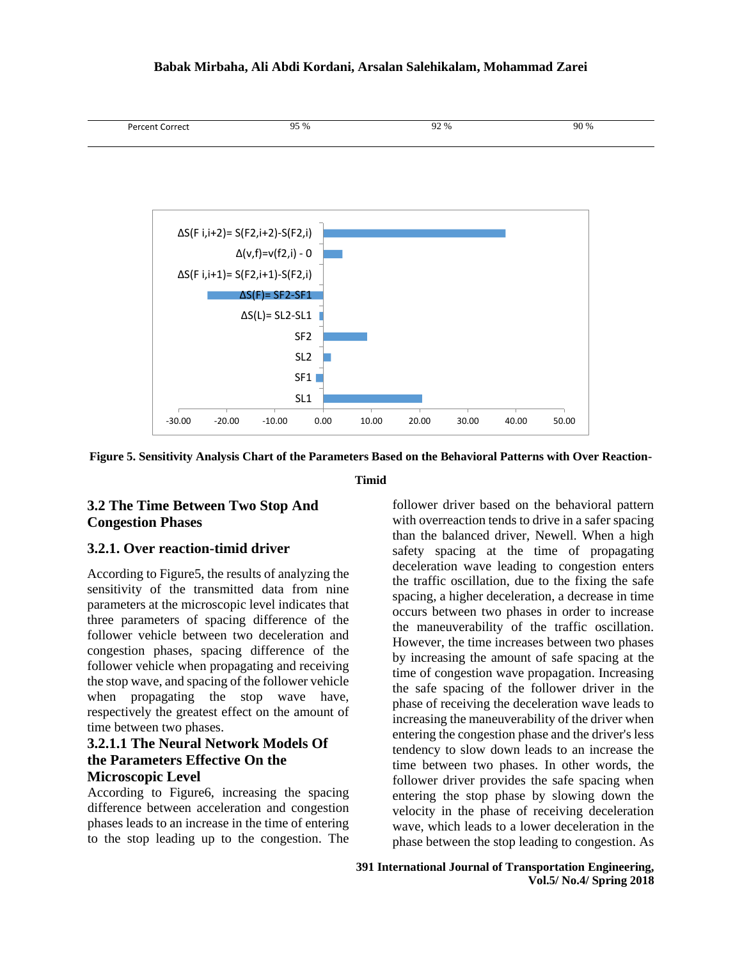#### **Babak Mirbaha, Ali Abdi Kordani, Arsalan Salehikalam, Mohammad Zarei**





**Figure 5. Sensitivity Analysis Chart of the Parameters Based on the Behavioral Patterns with Over Reaction-**

**Timid**

## **3.2 The Time Between Two Stop And Congestion Phases**

#### **3.2.1. Over reaction-timid driver**

According to Figure5, the results of analyzing the sensitivity of the transmitted data from nine parameters at the microscopic level indicates that three parameters of spacing difference of the follower vehicle between two deceleration and congestion phases, spacing difference of the follower vehicle when propagating and receiving the stop wave, and spacing of the follower vehicle when propagating the stop wave have, respectively the greatest effect on the amount of time between two phases.

### **3.2.1.1 The Neural Network Models Of the Parameters Effective On the Microscopic Level**

According to Figure6, increasing the spacing difference between acceleration and congestion phases leads to an increase in the time of entering to the stop leading up to the congestion. The follower driver based on the behavioral pattern with overreaction tends to drive in a safer spacing than the balanced driver, Newell. When a high safety spacing at the time of propagating deceleration wave leading to congestion enters the traffic oscillation, due to the fixing the safe spacing, a higher deceleration, a decrease in time occurs between two phases in order to increase the maneuverability of the traffic oscillation. However, the time increases between two phases by increasing the amount of safe spacing at the time of congestion wave propagation. Increasing the safe spacing of the follower driver in the phase of receiving the deceleration wave leads to increasing the maneuverability of the driver when entering the congestion phase and the driver's less tendency to slow down leads to an increase the time between two phases. In other words, the follower driver provides the safe spacing when entering the stop phase by slowing down the velocity in the phase of receiving deceleration wave, which leads to a lower deceleration in the phase between the stop leading to congestion. As

**391 International Journal of Transportation Engineering, Vol.5/ No.4/ Spring 2018**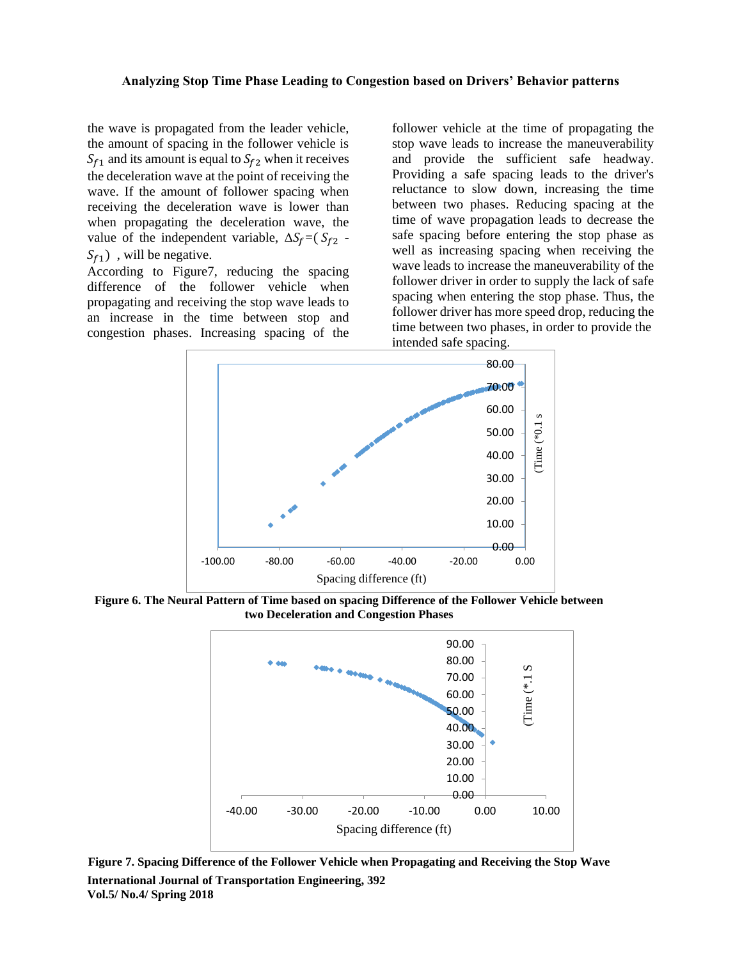the wave is propagated from the leader vehicle, the amount of spacing in the follower vehicle is  $S_{f1}$  and its amount is equal to  $S_{f2}$  when it receives the deceleration wave at the point of receiving the wave. If the amount of follower spacing when receiving the deceleration wave is lower than when propagating the deceleration wave, the value of the independent variable,  $\Delta S_f = (S_{f2} S_{f1}$ ), will be negative.

According to Figure7, reducing the spacing difference of the follower vehicle when propagating and receiving the stop wave leads to an increase in the time between stop and congestion phases. Increasing spacing of the follower vehicle at the time of propagating the stop wave leads to increase the maneuverability and provide the sufficient safe headway. Providing a safe spacing leads to the driver's reluctance to slow down, increasing the time between two phases. Reducing spacing at the time of wave propagation leads to decrease the safe spacing before entering the stop phase as well as increasing spacing when receiving the wave leads to increase the maneuverability of the follower driver in order to supply the lack of safe spacing when entering the stop phase. Thus, the follower driver has more speed drop, reducing the time between two phases, in order to provide the intended safe spacing.



**Figure 6. The Neural Pattern of Time based on spacing Difference of the Follower Vehicle between two Deceleration and Congestion Phases**



**International Journal of Transportation Engineering, 392 Vol.5/ No.4/ Spring 2018 Figure 7. Spacing Difference of the Follower Vehicle when Propagating and Receiving the Stop Wave**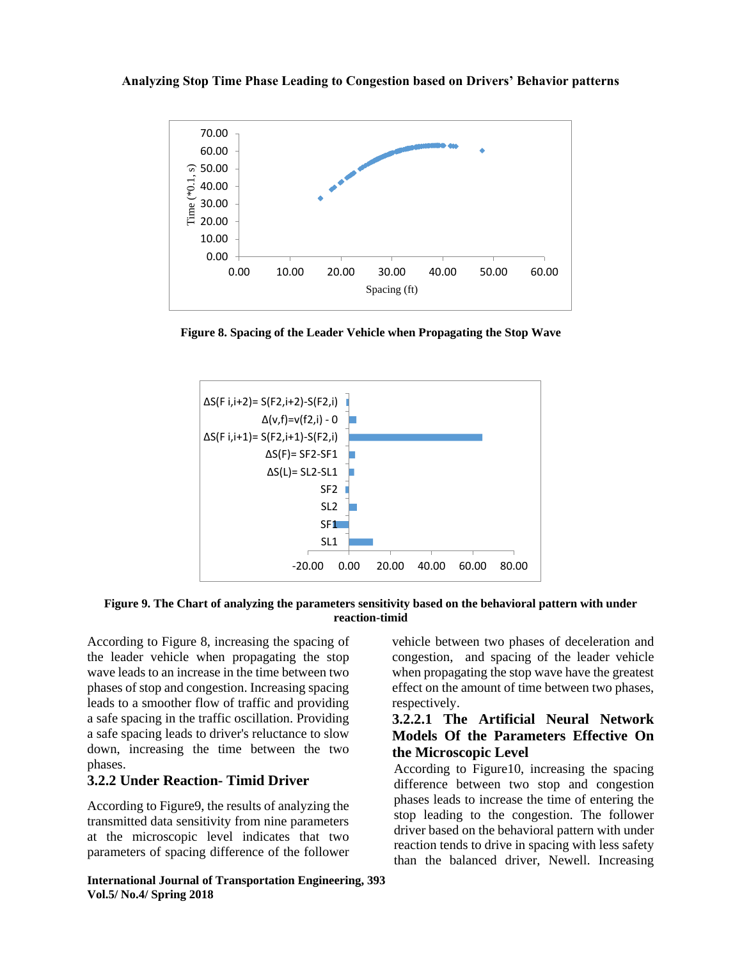

**Figure 8. Spacing of the Leader Vehicle when Propagating the Stop Wave**



**Figure 9. The Chart of analyzing the parameters sensitivity based on the behavioral pattern with under reaction-timid**

According to Figure 8, increasing the spacing of the leader vehicle when propagating the stop wave leads to an increase in the time between two phases of stop and congestion. Increasing spacing leads to a smoother flow of traffic and providing a safe spacing in the traffic oscillation. Providing a safe spacing leads to driver's reluctance to slow down, increasing the time between the two phases.

## **3.2.2 Under Reaction- Timid Driver**

According to Figure9, the results of analyzing the transmitted data sensitivity from nine parameters at the microscopic level indicates that two parameters of spacing difference of the follower

**International Journal of Transportation Engineering, 393 Vol.5/ No.4/ Spring 2018**

vehicle between two phases of deceleration and congestion, and spacing of the leader vehicle when propagating the stop wave have the greatest effect on the amount of time between two phases, respectively.

## **3.2.2.1 The Artificial Neural Network Models Of the Parameters Effective On the Microscopic Level**

According to Figure10, increasing the spacing difference between two stop and congestion phases leads to increase the time of entering the stop leading to the congestion. The follower driver based on the behavioral pattern with under reaction tends to drive in spacing with less safety than the balanced driver, Newell. Increasing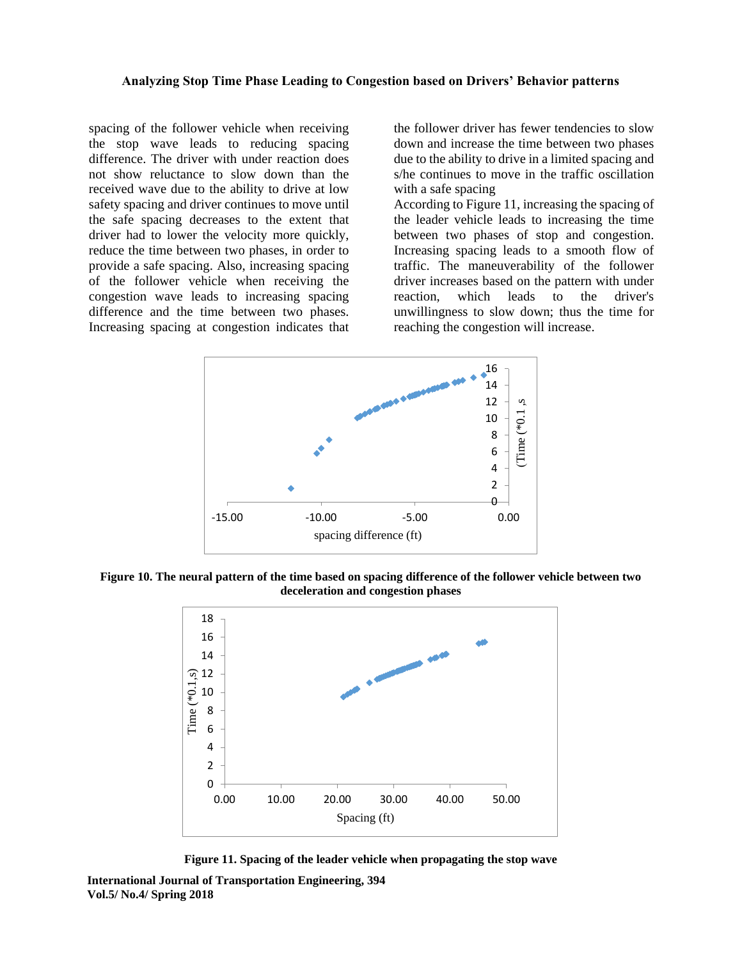spacing of the follower vehicle when receiving the stop wave leads to reducing spacing difference. The driver with under reaction does not show reluctance to slow down than the received wave due to the ability to drive at low safety spacing and driver continues to move until the safe spacing decreases to the extent that driver had to lower the velocity more quickly, reduce the time between two phases, in order to provide a safe spacing. Also, increasing spacing of the follower vehicle when receiving the congestion wave leads to increasing spacing difference and the time between two phases. Increasing spacing at congestion indicates that

the follower driver has fewer tendencies to slow down and increase the time between two phases due to the ability to drive in a limited spacing and s/he continues to move in the traffic oscillation with a safe spacing

According to Figure 11, increasing the spacing of the leader vehicle leads to increasing the time between two phases of stop and congestion. Increasing spacing leads to a smooth flow of traffic. The maneuverability of the follower driver increases based on the pattern with under reaction, which leads to the driver's unwillingness to slow down; thus the time for reaching the congestion will increase.



**Figure 10. The neural pattern of the time based on spacing difference of the follower vehicle between two deceleration and congestion phases**



**Figure 11. Spacing of the leader vehicle when propagating the stop wave**

**International Journal of Transportation Engineering, 394 Vol.5/ No.4/ Spring 2018**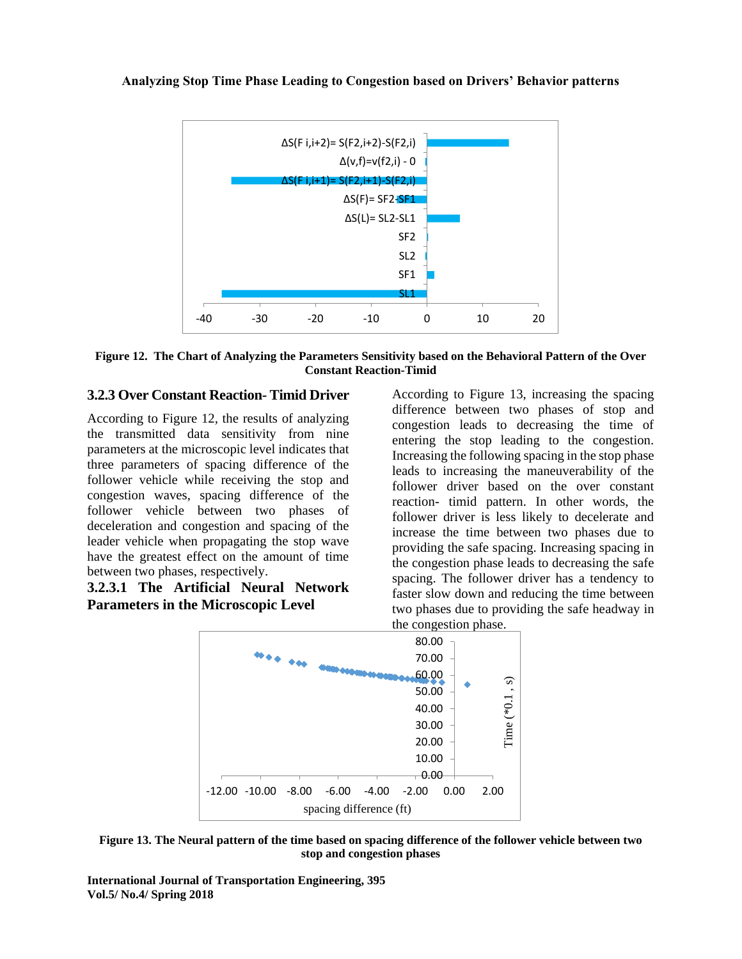

**Figure 12. The Chart of Analyzing the Parameters Sensitivity based on the Behavioral Pattern of the Over Constant Reaction-Timid**

## **3.2.3 Over Constant Reaction- Timid Driver**

According to Figure 12, the results of analyzing the transmitted data sensitivity from nine parameters at the microscopic level indicates that three parameters of spacing difference of the follower vehicle while receiving the stop and congestion waves, spacing difference of the follower vehicle between two phases of deceleration and congestion and spacing of the leader vehicle when propagating the stop wave have the greatest effect on the amount of time between two phases, respectively.

## **3.2.3.1 The Artificial Neural Network Parameters in the Microscopic Level**

According to Figure 13, increasing the spacing difference between two phases of stop and congestion leads to decreasing the time of entering the stop leading to the congestion. Increasing the following spacing in the stop phase leads to increasing the maneuverability of the follower driver based on the over constant reaction- timid pattern. In other words, the follower driver is less likely to decelerate and increase the time between two phases due to providing the safe spacing. Increasing spacing in the congestion phase leads to decreasing the safe spacing. The follower driver has a tendency to faster slow down and reducing the time between two phases due to providing the safe headway in the congestion phase.



**Figure 13. The Neural pattern of the time based on spacing difference of the follower vehicle between two stop and congestion phases**

**International Journal of Transportation Engineering, 395 Vol.5/ No.4/ Spring 2018**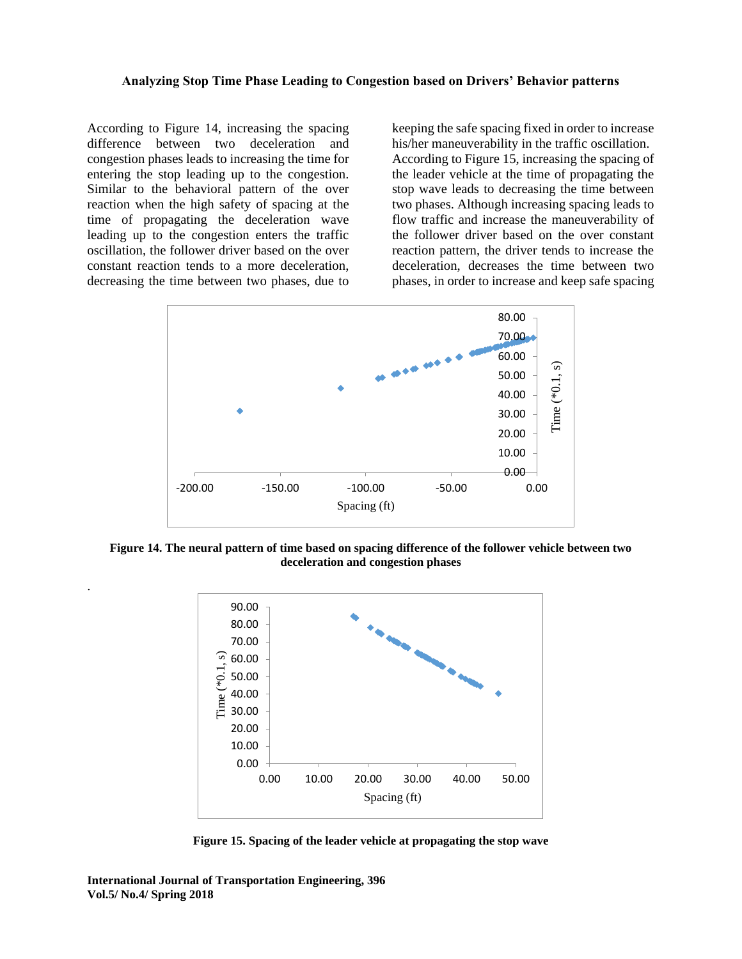According to Figure 14, increasing the spacing difference between two deceleration and congestion phases leads to increasing the time for entering the stop leading up to the congestion. Similar to the behavioral pattern of the over reaction when the high safety of spacing at the time of propagating the deceleration wave leading up to the congestion enters the traffic oscillation, the follower driver based on the over constant reaction tends to a more deceleration, decreasing the time between two phases, due to

.

keeping the safe spacing fixed in order to increase his/her maneuverability in the traffic oscillation. According to Figure 15, increasing the spacing of the leader vehicle at the time of propagating the stop wave leads to decreasing the time between two phases. Although increasing spacing leads to flow traffic and increase the maneuverability of the follower driver based on the over constant reaction pattern, the driver tends to increase the deceleration, decreases the time between two phases, in order to increase and keep safe spacing



**Figure 14. The neural pattern of time based on spacing difference of the follower vehicle between two deceleration and congestion phases**



**Figure 15. Spacing of the leader vehicle at propagating the stop wave**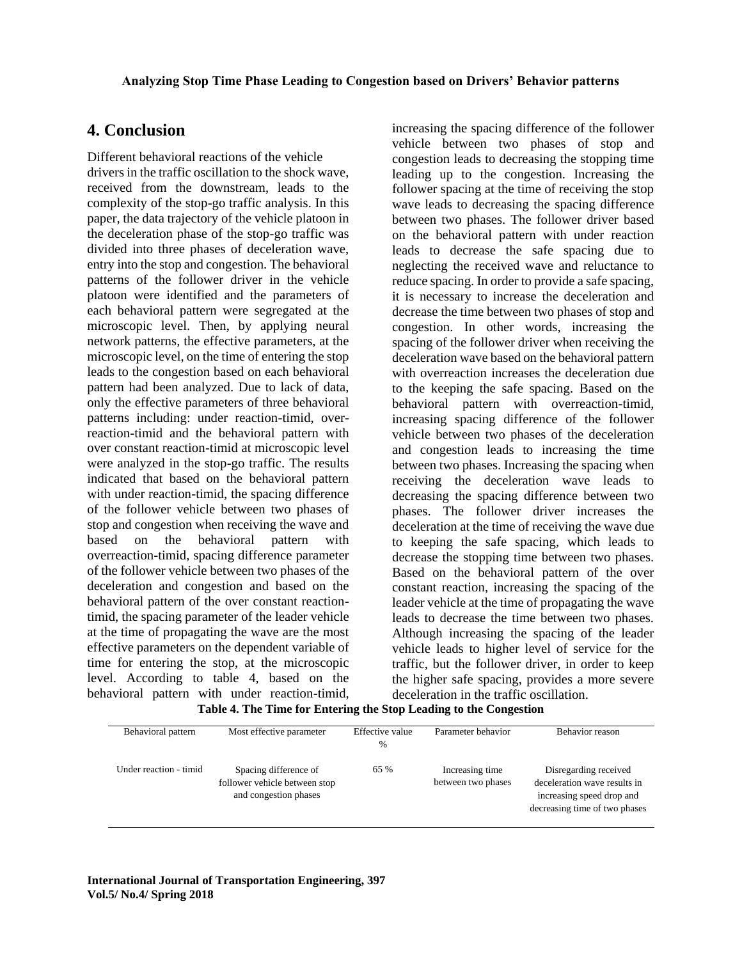# **4. Conclusion**

Different behavioral reactions of the vehicle drivers in the traffic oscillation to the shock wave, received from the downstream, leads to the complexity of the stop-go traffic analysis. In this paper, the data trajectory of the vehicle platoon in the deceleration phase of the stop-go traffic was divided into three phases of deceleration wave, entry into the stop and congestion. The behavioral patterns of the follower driver in the vehicle platoon were identified and the parameters of each behavioral pattern were segregated at the microscopic level. Then, by applying neural network patterns, the effective parameters, at the microscopic level, on the time of entering the stop leads to the congestion based on each behavioral pattern had been analyzed. Due to lack of data, only the effective parameters of three behavioral patterns including: under reaction-timid, overreaction-timid and the behavioral pattern with over constant reaction-timid at microscopic level were analyzed in the stop-go traffic. The results indicated that based on the behavioral pattern with under reaction-timid, the spacing difference of the follower vehicle between two phases of stop and congestion when receiving the wave and based on the behavioral pattern with overreaction-timid, spacing difference parameter of the follower vehicle between two phases of the deceleration and congestion and based on the behavioral pattern of the over constant reactiontimid, the spacing parameter of the leader vehicle at the time of propagating the wave are the most effective parameters on the dependent variable of time for entering the stop, at the microscopic level. According to table 4, based on the behavioral pattern with under reaction-timid,

increasing the spacing difference of the follower vehicle between two phases of stop and congestion leads to decreasing the stopping time leading up to the congestion. Increasing the follower spacing at the time of receiving the stop wave leads to decreasing the spacing difference between two phases. The follower driver based on the behavioral pattern with under reaction leads to decrease the safe spacing due to neglecting the received wave and reluctance to reduce spacing. In order to provide a safe spacing, it is necessary to increase the deceleration and decrease the time between two phases of stop and congestion. In other words, increasing the spacing of the follower driver when receiving the deceleration wave based on the behavioral pattern with overreaction increases the deceleration due to the keeping the safe spacing. Based on the behavioral pattern with overreaction-timid, increasing spacing difference of the follower vehicle between two phases of the deceleration and congestion leads to increasing the time between two phases. Increasing the spacing when receiving the deceleration wave leads to decreasing the spacing difference between two phases. The follower driver increases the deceleration at the time of receiving the wave due to keeping the safe spacing, which leads to decrease the stopping time between two phases. Based on the behavioral pattern of the over constant reaction, increasing the spacing of the leader vehicle at the time of propagating the wave leads to decrease the time between two phases. Although increasing the spacing of the leader vehicle leads to higher level of service for the traffic, but the follower driver, in order to keep the higher safe spacing, provides a more severe deceleration in the traffic oscillation.

| Behavioral pattern     | Most effective parameter      | Effective value | Parameter behavior | Behavior reason               |
|------------------------|-------------------------------|-----------------|--------------------|-------------------------------|
|                        |                               |                 |                    |                               |
|                        |                               | $\%$            |                    |                               |
|                        |                               |                 |                    |                               |
| Under reaction - timid |                               |                 |                    |                               |
|                        | Spacing difference of         | 65 %            | Increasing time    | Disregarding received         |
|                        | follower vehicle between stop |                 | between two phases | deceleration wave results in  |
|                        |                               |                 |                    |                               |
|                        | and congestion phases         |                 |                    | increasing speed drop and     |
|                        |                               |                 |                    | decreasing time of two phases |
|                        |                               |                 |                    |                               |
|                        |                               |                 |                    |                               |

**Table 4. The Time for Entering the Stop Leading to the Congestion**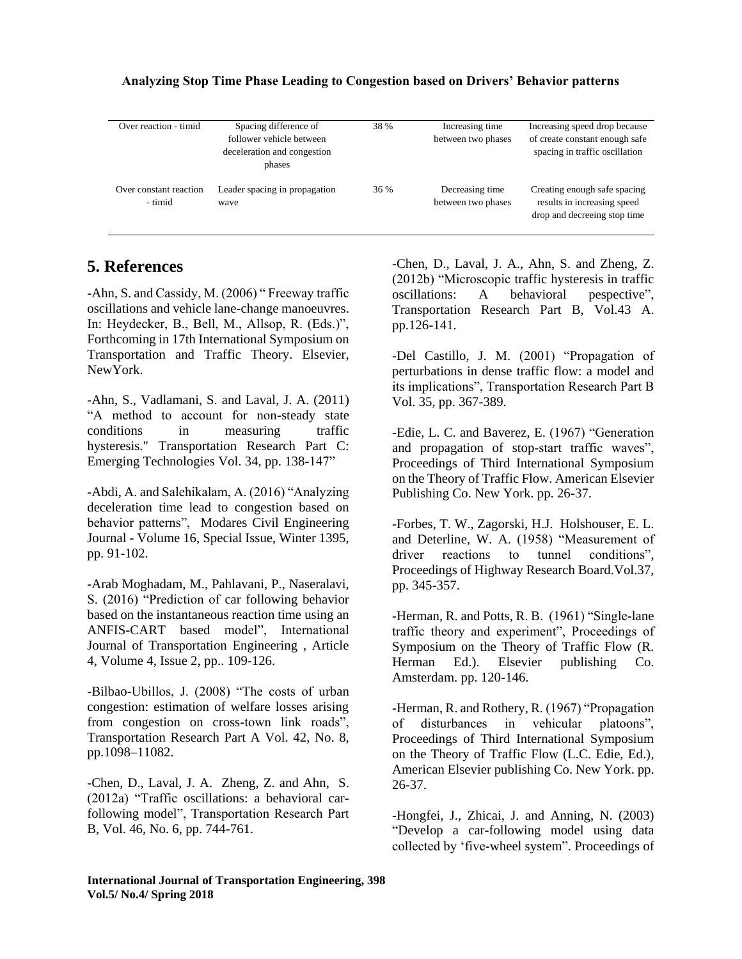| Over reaction - timid             | Spacing difference of<br>follower vehicle between<br>deceleration and congestion<br>phases | 38 % | Increasing time<br>between two phases | Increasing speed drop because<br>of create constant enough safe<br>spacing in traffic oscillation |
|-----------------------------------|--------------------------------------------------------------------------------------------|------|---------------------------------------|---------------------------------------------------------------------------------------------------|
| Over constant reaction<br>- timid | Leader spacing in propagation<br>wave                                                      | 36 % | Decreasing time<br>between two phases | Creating enough safe spacing<br>results in increasing speed<br>drop and decreeing stop time       |

# **5. References**

-Ahn, S. and Cassidy, M. (2006) " Freeway traffic oscillations and vehicle lane-change manoeuvres. In: Heydecker, B., Bell, M., Allsop, R. (Eds.)", Forthcoming in 17th International Symposium on Transportation and Traffic Theory. Elsevier, NewYork.

-Ahn, S., Vadlamani, S. and Laval, J. A. (2011) "A method to account for non-steady state conditions in measuring traffic hysteresis." Transportation Research Part C: Emerging Technologies Vol. 34, pp. 138-147"

-Abdi, A. and Salehikalam, A. (2016) "Analyzing deceleration time lead to congestion based on behavior patterns", Modares Civil Engineering Journal - Volume 16, Special Issue, Winter 1395, pp. 91-102.

[-Arab Moghadam,](http://www.ijte.ir/?_action=article&au=145899&_au=Mohsen++Poor+Arab+Moghadam) M., [Pahlavani,](http://www.ijte.ir/?_action=article&au=224066&_au=Parham++Pahlavani) P., [Naseralavi,](http://www.ijte.ir/?_action=article&au=224067&_au=Saber++Naseralavi) S. (2016) "Prediction of car following behavior based on the instantaneous reaction time using an ANFIS-CART based model", International Journal of Transportation Engineering , Article 4, [Volume 4, Issue 2,](http://www.ijte.ir/issue_3682_4608_Volume+4%2C+Issue+2%2C+Autumn+2016%2C+Page+75-146.html) pp.. 109-126.

-Bilbao-Ubillos, J. (2008) "The costs of urban congestion: estimation of welfare losses arising from congestion on cross-town link roads", Transportation Research Part A Vol. 42, No. 8, pp.1098–11082.

-Chen, D., Laval, J. A. Zheng, Z. and Ahn, S. (2012a) "Traffic oscillations: a behavioral carfollowing model", Transportation Research Part B, Vol. 46, No. 6, pp. 744-761.

-Chen, D., Laval, J. A., Ahn, S. and Zheng, Z. (2012b) "Microscopic traffic hysteresis in traffic oscillations: A behavioral pespective", Transportation Research Part B, Vol.43 A. pp.126-141.

-Del Castillo, J. M. (2001) "Propagation of perturbations in dense traffic flow: a model and its implications", Transportation Research Part B Vol. 35, pp. 367-389.

-Edie, L. C. and Baverez, E. (1967) "Generation and propagation of stop-start traffic waves", Proceedings of Third International Symposium on the Theory of Traffic Flow. American Elsevier Publishing Co. New York. pp. 26-37.

-Forbes, T. W., Zagorski, H.J. Holshouser, E. L. and Deterline, W. A. (1958) "Measurement of driver reactions to tunnel conditions", Proceedings of Highway Research Board.Vol.37, pp. 345-357.

-Herman, R. and Potts, R. B. (1961) "Single-lane traffic theory and experiment", Proceedings of Symposium on the Theory of Traffic Flow (R. Herman Ed.). Elsevier publishing Co. Amsterdam. pp. 120-146.

-Herman, R. and Rothery, R. (1967) "Propagation of disturbances in vehicular platoons", Proceedings of Third International Symposium on the Theory of Traffic Flow (L.C. Edie, Ed.), American Elsevier publishing Co. New York. pp. 26-37.

-Hongfei, J., Zhicai, J. and Anning, N. (2003) "Develop a car-following model using data collected by 'five-wheel system". Proceedings of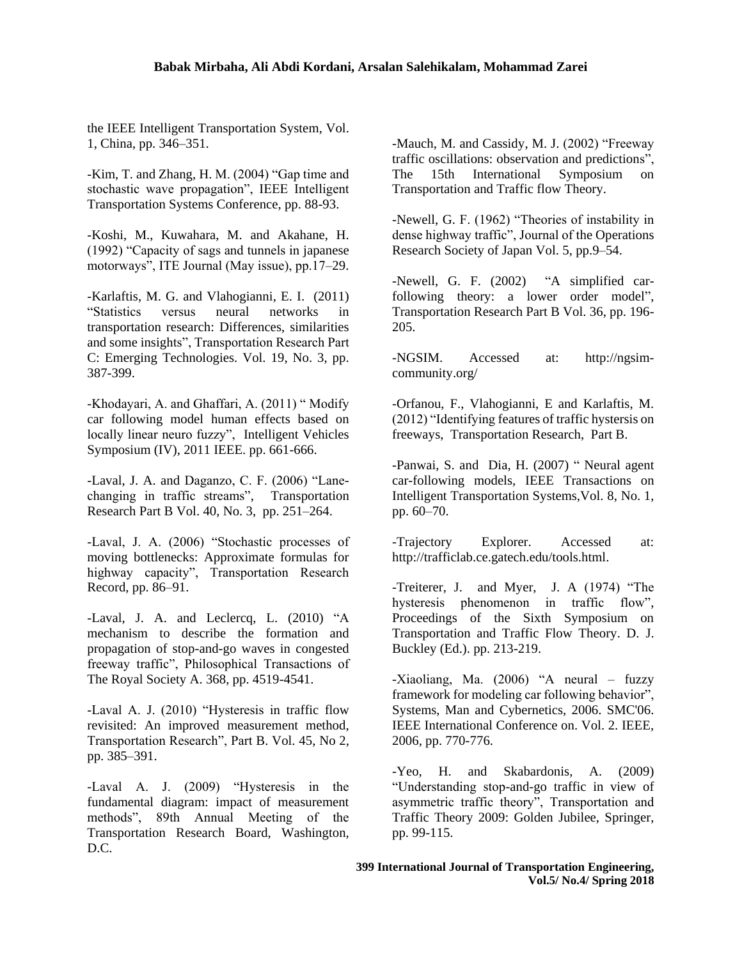#### **Babak Mirbaha, Ali Abdi Kordani, Arsalan Salehikalam, Mohammad Zarei**

the IEEE Intelligent Transportation System, Vol. 1, China, pp. 346–351.

-Kim, T. and Zhang, H. M. (2004) "Gap time and stochastic wave propagation", IEEE Intelligent Transportation Systems Conference, pp. 88-93.

-Koshi, M., Kuwahara, M. and Akahane, H. (1992) "Capacity of sags and tunnels in japanese motorways", ITE Journal (May issue), pp.17–29.

-Karlaftis, M. G. and Vlahogianni, E. I. (2011) "Statistics versus neural networks in transportation research: Differences, similarities and some insights", Transportation Research Part C: Emerging Technologies. Vol. 19, No. 3, pp. 387-399.

-Khodayari, A. and Ghaffari, A. (2011) " Modify car following model human effects based on locally linear neuro fuzzy", Intelligent Vehicles Symposium (IV), 2011 IEEE. pp. 661-666.

-Laval, J. A. and Daganzo, C. F. (2006) "Lanechanging in traffic streams", Transportation Research Part B Vol. 40, No. 3, pp. 251–264.

-Laval, J. A. (2006) "Stochastic processes of moving bottlenecks: Approximate formulas for highway capacity", Transportation Research Record, pp. 86–91.

-Laval, J. A. and Leclercq, L. (2010) "A mechanism to describe the formation and propagation of stop-and-go waves in congested freeway traffic", Philosophical Transactions of The Royal Society A. 368, pp. 4519-4541.

-Laval A. J. (2010) "Hysteresis in traffic flow revisited: An improved measurement method, Transportation Research", Part B. Vol. 45, No 2, pp. 385–391.

-Laval A. J. (2009) "Hysteresis in the fundamental diagram: impact of measurement methods", 89th Annual Meeting of the Transportation Research Board, Washington, D.C.

-Mauch, M. and Cassidy, M. J. (2002) "Freeway traffic oscillations: observation and predictions", The 15th International Symposium on Transportation and Traffic flow Theory.

-Newell, G. F. (1962) "Theories of instability in dense highway traffic", Journal of the Operations Research Society of Japan Vol. 5, pp.9–54.

-Newell, G. F. (2002) "A simplified carfollowing theory: a lower order model", Transportation Research Part B Vol. 36, pp. 196- 205.

-NGSIM. Accessed at: [http://ngsim](http://ngsim-community.org/)[community.org/](http://ngsim-community.org/)

-Orfanou, F., Vlahogianni, E and Karlaftis, M. (2012) "Identifying features of traffic hystersis on freeways, Transportation Research, Part B.

-Panwai, S. and Dia, H. (2007) " Neural agent car-following models, IEEE Transactions on Intelligent Transportation Systems,Vol. 8, No. 1, pp. 60–70.

-Trajectory Explorer. Accessed at: [http://trafficlab.ce.gatech.edu/tools.html.](http://trafficlab.ce.gatech.edu/tools.html)

-Treiterer, J. and Myer, J. A (1974) "The hysteresis phenomenon in traffic flow", Proceedings of the Sixth Symposium on Transportation and Traffic Flow Theory. D. J. Buckley (Ed.). pp. 213-219.

-Xiaoliang, Ma. (2006) "A neural – fuzzy framework for modeling car following behavior", Systems, Man and Cybernetics, 2006. SMC'06. IEEE International Conference on. Vol. 2. IEEE, 2006, pp. 770-776.

-Yeo, H. and Skabardonis, A. (2009) "Understanding stop-and-go traffic in view of asymmetric traffic theory", Transportation and Traffic Theory 2009: Golden Jubilee, Springer, pp. 99-115.